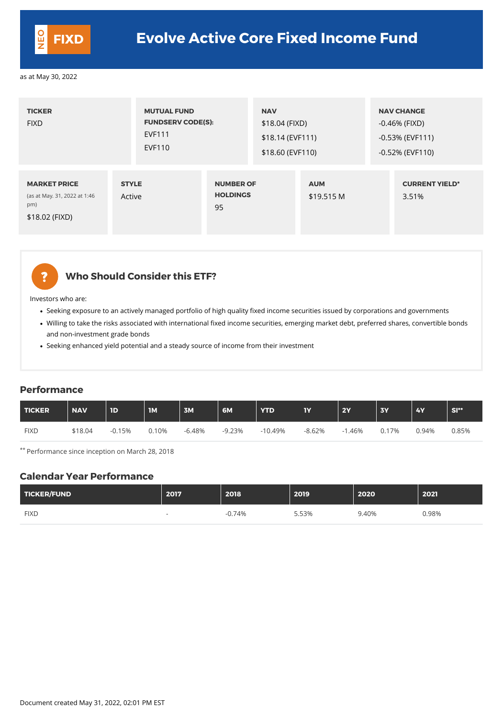| <b>TICKER</b><br><b>FIXD</b>                                                 | <b>MUTUAL FUND</b><br><b>FUNDSERV CODE(S):</b><br><b>EVF111</b><br><b>EVF110</b> |                                           | <b>NAV</b><br>\$18.04 (FIXD)<br>\$18.14 (EVF111)<br>\$18.60 (EVF110) |                          | <b>NAV CHANGE</b><br>-0.46% (FIXD)<br>$-0.53\%$ (EVF111)<br>$-0.52\%$ (EVF110) |
|------------------------------------------------------------------------------|----------------------------------------------------------------------------------|-------------------------------------------|----------------------------------------------------------------------|--------------------------|--------------------------------------------------------------------------------|
| <b>MARKET PRICE</b><br>(as at May. 31, 2022 at 1:46<br>pm)<br>\$18.02 (FIXD) | <b>STYLE</b><br>Active                                                           | <b>NUMBER OF</b><br><b>HOLDINGS</b><br>95 |                                                                      | <b>AUM</b><br>\$19.515 M | <b>CURRENT YIELD*</b><br>3.51%                                                 |



### **Who Should Consider this ETF?**

Investors who are:

- Seeking exposure to an actively managed portfolio of high quality fixed income securities issued by corporations and governments
- Willing to take the risks associated with international fixed income securities, emerging market debt, preferred shares, convertible bonds and non-investment grade bonds
- Seeking enhanced yield potential and a steady source of income from their investment

#### **Performance**

| TICKER      | <b>NAV</b> | <b>ID</b> | $\overline{\mathbf{I}}$ | <b>3M</b> | 6M       | <b>YTD</b> | <b>IY</b> | <b>2Y</b> | <b>3Y</b> | <b>4Y</b> | <b>SI**</b> |
|-------------|------------|-----------|-------------------------|-----------|----------|------------|-----------|-----------|-----------|-----------|-------------|
| <b>FIXD</b> | \$18.04    | $-0.15%$  | 0.10%                   | -6.48%    | $-9.23%$ | $-10.49\%$ | $-8.62%$  | .46%      | 0.17%     | 0.94%     | 0.85%       |

\*\* Performance since inception on March 28, 2018

#### **Calendar Year Performance**

| TICKER/FUND | 2017 | 2018 | 2019 | 2020 | 2021 |
|-------------|------|------|------|------|------|

| <b>FIXD</b> | ገ.74%<br>- 1 | 5.53% | .40% | 0.98% |
|-------------|--------------|-------|------|-------|
|             |              |       |      |       |

Document created May 31, 2022, 02:01 PM EST

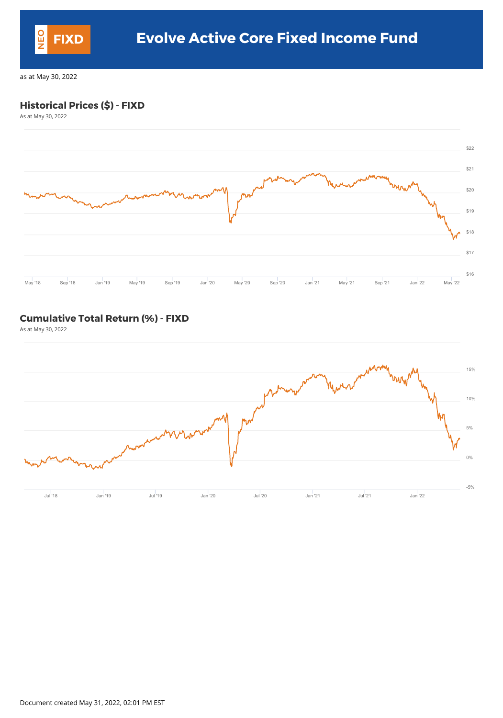### **Historical Prices (\$) - FIXD**

As at May 30, 2022



## **Cumulative Total Return (%) - FIXD**

As at May 30, 2022



Document created May 31, 2022, 02:01 PM EST

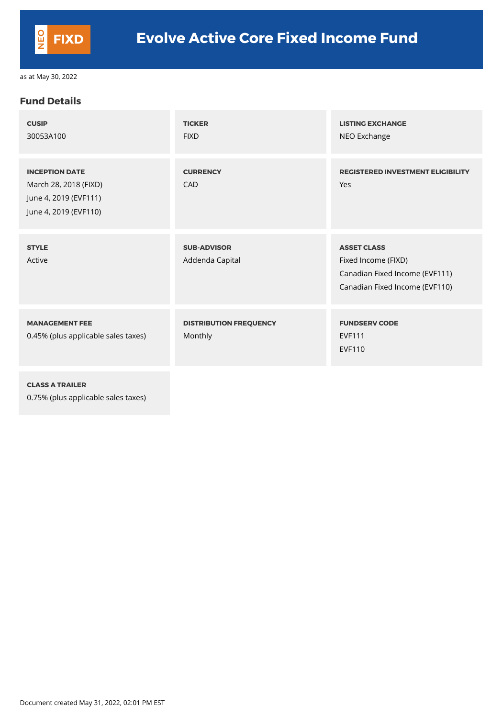#### **Fund Details**

| <b>CUSIP</b><br>30053A100                                                                        | <b>TICKER</b><br><b>FIXD</b>             | <b>LISTING EXCHANGE</b><br>NEO Exchange                                                                       |
|--------------------------------------------------------------------------------------------------|------------------------------------------|---------------------------------------------------------------------------------------------------------------|
| <b>INCEPTION DATE</b><br>March 28, 2018 (FIXD)<br>June 4, 2019 (EVF111)<br>June 4, 2019 (EVF110) | <b>CURRENCY</b><br><b>CAD</b>            | <b>REGISTERED INVESTMENT ELIGIBILITY</b><br>Yes                                                               |
| <b>STYLE</b><br>Active                                                                           | <b>SUB-ADVISOR</b><br>Addenda Capital    | <b>ASSET CLASS</b><br>Fixed Income (FIXD)<br>Canadian Fixed Income (EVF111)<br>Canadian Fixed Income (EVF110) |
| <b>MANAGEMENT FEE</b><br>0.45% (plus applicable sales taxes)                                     | <b>DISTRIBUTION FREQUENCY</b><br>Monthly | <b>FUNDSERV CODE</b><br><b>EVF111</b><br><b>EVF110</b>                                                        |
|                                                                                                  |                                          |                                                                                                               |

**CLASS A TRAILER** 0.75% (plus applicable sales taxes)

Document created May 31, 2022, 02:01 PM EST

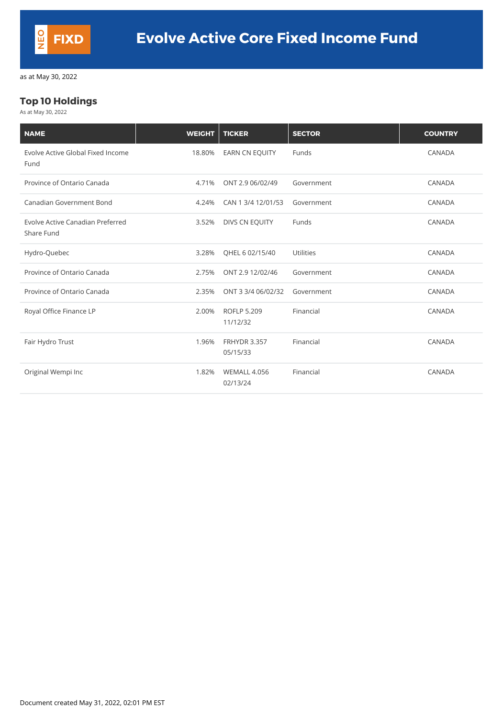### **Top 10 Holdings**

As at May 30, 2022

| <b>NAME</b>                                    | <b>WEIGHT</b> | <b>TICKER</b>                   | <b>SECTOR</b>    | <b>COUNTRY</b> |
|------------------------------------------------|---------------|---------------------------------|------------------|----------------|
| Evolve Active Global Fixed Income<br>Fund      | 18.80%        | <b>EARN CN EQUITY</b>           | Funds            | <b>CANADA</b>  |
| Province of Ontario Canada                     | 4.71%         | ONT 2.9 06/02/49                | Government       | <b>CANADA</b>  |
| <b>Canadian Government Bond</b>                | 4.24%         | CAN 1 3/4 12/01/53              | Government       | <b>CANADA</b>  |
| Evolve Active Canadian Preferred<br>Share Fund | 3.52%         | DIVS CN EQUITY                  | Funds            | <b>CANADA</b>  |
| Hydro-Quebec                                   | 3.28%         | QHEL 6 02/15/40                 | <b>Utilities</b> | <b>CANADA</b>  |
| Province of Ontario Canada                     | 2.75%         | ONT 2.9 12/02/46                | Government       | CANADA         |
| Province of Ontario Canada                     | 2.35%         | ONT 3 3/4 06/02/32              | Government       | <b>CANADA</b>  |
| Royal Office Finance LP                        | 2.00%         | <b>ROFLP 5.209</b><br>11/12/32  | Financial        | <b>CANADA</b>  |
| Fair Hydro Trust                               | 1.96%         | <b>FRHYDR 3.357</b><br>05/15/33 | Financial        | <b>CANADA</b>  |
| Original Wempi Inc                             | 1.82%         | <b>WEMALL 4.056</b><br>02/13/24 | Financial        | <b>CANADA</b>  |

Document created May 31, 2022, 02:01 PM EST

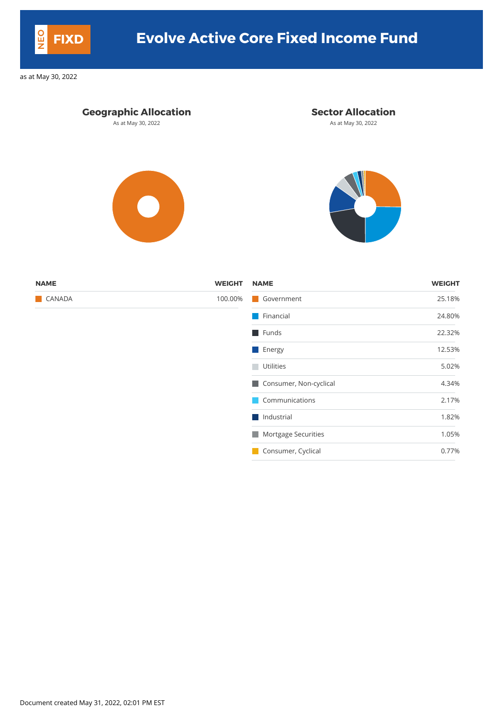### **Geographic Allocation Sector Allocation**

As at May 30, 2022 **As at May 30, 2022** As at May 30, 2022





| <b>NAME</b>   | <b>WEIGHT</b> | <b>NAME</b>               | <b>WEIGHT</b> |
|---------------|---------------|---------------------------|---------------|
| <b>CANADA</b> | 100.00%       | Government                | 25.18%        |
|               |               | $\blacksquare$ Financial  | 24.80%        |
|               |               | $\blacksquare$ Funds      | 22.32%        |
|               |               | $\blacksquare$ Energy     | 12.53%        |
|               |               | <b>Utilities</b>          | 5.02%         |
|               |               | Consumer, Non-cyclical    | 4.34%         |
|               |               | Communications            | 2.17%         |
|               |               | $\blacksquare$ Industrial | 1.82%         |
|               |               | Mortgage Securities       | 1.05%         |
|               |               | Consumer, Cyclical        | 0.77%         |

Document created May 31, 2022, 02:01 PM EST



# **FIXD Evolve Active Core Fixed Income Fund**